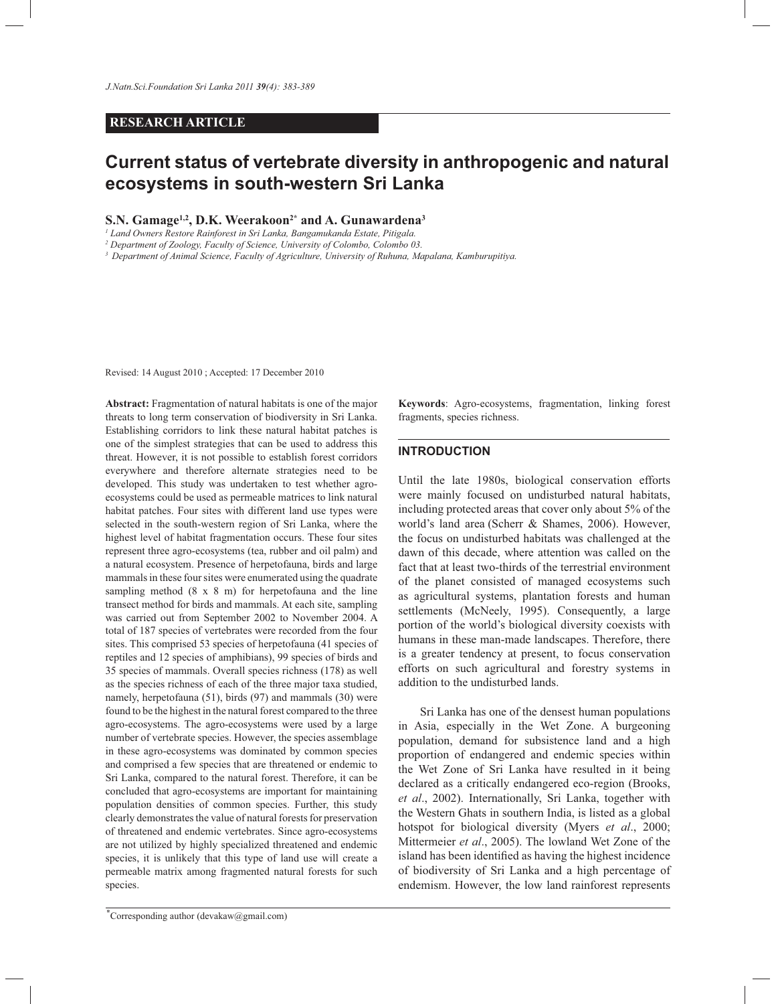## **RESEARCH ARTICLE**

# **Current status of vertebrate diversity in anthropogenic and natural ecosystems in south-western Sri Lanka**

#### **S.N. Gamage1,2, D.K. Weerakoon2\* and A. Gunawardena3**

*1 Land Owners Restore Rainforest in Sri Lanka, Bangamukanda Estate, Pitigala.*

*2 Department of Zoology, Faculty of Science, University of Colombo, Colombo 03.*

*3 Department of Animal Science, Faculty of Agriculture, University of Ruhuna, Mapalana, Kamburupitiya.*

Revised: 14 August 2010 ; Accepted: 17 December 2010

**Abstract:** Fragmentation of natural habitats is one of the major threats to long term conservation of biodiversity in Sri Lanka. Establishing corridors to link these natural habitat patches is one of the simplest strategies that can be used to address this threat. However, it is not possible to establish forest corridors everywhere and therefore alternate strategies need to be developed. This study was undertaken to test whether agroecosystems could be used as permeable matrices to link natural habitat patches. Four sites with different land use types were selected in the south-western region of Sri Lanka, where the highest level of habitat fragmentation occurs. These four sites represent three agro-ecosystems (tea, rubber and oil palm) and a natural ecosystem. Presence of herpetofauna, birds and large mammals in these four sites were enumerated using the quadrate sampling method (8 x 8 m) for herpetofauna and the line transect method for birds and mammals. At each site, sampling was carried out from September 2002 to November 2004. A total of 187 species of vertebrates were recorded from the four sites. This comprised 53 species of herpetofauna (41 species of reptiles and 12 species of amphibians), 99 species of birds and 35 species of mammals. Overall species richness (178) as well as the species richness of each of the three major taxa studied, namely, herpetofauna (51), birds (97) and mammals (30) were found to be the highest in the natural forest compared to the three agro-ecosystems. The agro-ecosystems were used by a large number of vertebrate species. However, the species assemblage in these agro-ecosystems was dominated by common species and comprised a few species that are threatened or endemic to Sri Lanka, compared to the natural forest. Therefore, it can be concluded that agro-ecosystems are important for maintaining population densities of common species. Further, this study clearly demonstrates the value of natural forests for preservation of threatened and endemic vertebrates. Since agro-ecosystems are not utilized by highly specialized threatened and endemic species, it is unlikely that this type of land use will create a permeable matrix among fragmented natural forests for such species.

**Keywords**: Agro-ecosystems, fragmentation, linking forest fragments, species richness.

## **INTRODUCTION**

Until the late 1980s, biological conservation efforts were mainly focused on undisturbed natural habitats, including protected areas that cover only about 5% of the world's land area (Scherr & Shames, 2006). However, the focus on undisturbed habitats was challenged at the dawn of this decade, where attention was called on the fact that at least two-thirds of the terrestrial environment of the planet consisted of managed ecosystems such as agricultural systems, plantation forests and human settlements (McNeely, 1995). Consequently, a large portion of the world's biological diversity coexists with humans in these man-made landscapes. Therefore, there is a greater tendency at present, to focus conservation efforts on such agricultural and forestry systems in addition to the undisturbed lands.

 Sri Lanka has one of the densest human populations in Asia, especially in the Wet Zone. A burgeoning population, demand for subsistence land and a high proportion of endangered and endemic species within the Wet Zone of Sri Lanka have resulted in it being declared as a critically endangered eco-region (Brooks, *et al*., 2002). Internationally, Sri Lanka, together with the Western Ghats in southern India, is listed as a global hotspot for biological diversity (Myers *et al*., 2000; Mittermeier *et al*., 2005). The lowland Wet Zone of the island has been identified as having the highest incidence of biodiversity of Sri Lanka and a high percentage of endemism. However, the low land rainforest represents

<sup>\*</sup> Corresponding author (devakaw@gmail.com)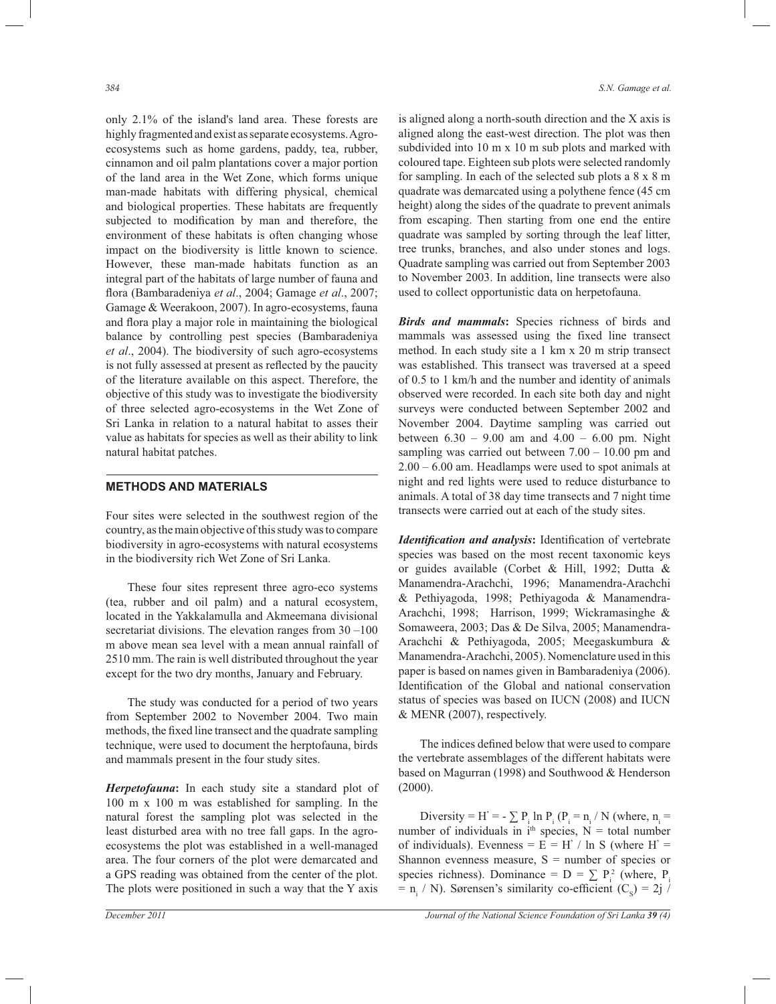only 2.1% of the island's land area. These forests are highly fragmented and exist as separate ecosystems. Agroecosystems such as home gardens, paddy, tea, rubber, cinnamon and oil palm plantations cover a major portion of the land area in the Wet Zone, which forms unique man-made habitats with differing physical, chemical and biological properties. These habitats are frequently subjected to modification by man and therefore, the environment of these habitats is often changing whose impact on the biodiversity is little known to science. However, these man-made habitats function as an integral part of the habitats of large number of fauna and flora (Bambaradeniya *et al*., 2004; Gamage *et al*., 2007; Gamage & Weerakoon, 2007). In agro-ecosystems, fauna and flora play a major role in maintaining the biological balance by controlling pest species (Bambaradeniya *et al*., 2004). The biodiversity of such agro-ecosystems is not fully assessed at present as reflected by the paucity of the literature available on this aspect. Therefore, the objective of this study was to investigate the biodiversity of three selected agro-ecosystems in the Wet Zone of Sri Lanka in relation to a natural habitat to asses their value as habitats for species as well as their ability to link natural habitat patches.

## **METHODS AND MATERIALS**

Four sites were selected in the southwest region of the country, as the main objective of this study was to compare biodiversity in agro-ecosystems with natural ecosystems in the biodiversity rich Wet Zone of Sri Lanka.

 These four sites represent three agro-eco systems (tea, rubber and oil palm) and a natural ecosystem, located in the Yakkalamulla and Akmeemana divisional secretariat divisions. The elevation ranges from 30 –100 m above mean sea level with a mean annual rainfall of 2510 mm. The rain is well distributed throughout the year except for the two dry months, January and February.

 The study was conducted for a period of two years from September 2002 to November 2004. Two main methods, the fixed line transect and the quadrate sampling technique, were used to document the herptofauna, birds and mammals present in the four study sites.

*Herpetofauna***:** In each study site a standard plot of 100 m x 100 m was established for sampling. In the natural forest the sampling plot was selected in the least disturbed area with no tree fall gaps. In the agroecosystems the plot was established in a well-managed area. The four corners of the plot were demarcated and a GPS reading was obtained from the center of the plot. The plots were positioned in such a way that the Y axis

is aligned along a north-south direction and the X axis is aligned along the east-west direction. The plot was then subdivided into 10 m x 10 m sub plots and marked with coloured tape. Eighteen sub plots were selected randomly for sampling. In each of the selected sub plots a 8 x 8 m quadrate was demarcated using a polythene fence (45 cm height) along the sides of the quadrate to prevent animals from escaping. Then starting from one end the entire quadrate was sampled by sorting through the leaf litter, tree trunks, branches, and also under stones and logs. Quadrate sampling was carried out from September 2003 to November 2003. In addition, line transects were also used to collect opportunistic data on herpetofauna.

*Birds and mammals***:** Species richness of birds and mammals was assessed using the fixed line transect method. In each study site a 1 km x 20 m strip transect was established. This transect was traversed at a speed of 0.5 to 1 km/h and the number and identity of animals observed were recorded. In each site both day and night surveys were conducted between September 2002 and November 2004. Daytime sampling was carried out between  $6.30 - 9.00$  am and  $4.00 - 6.00$  pm. Night sampling was carried out between 7.00 – 10.00 pm and 2.00 – 6.00 am. Headlamps were used to spot animals at night and red lights were used to reduce disturbance to animals. A total of 38 day time transects and 7 night time transects were carried out at each of the study sites.

*Identification and analysis***:** Identification of vertebrate species was based on the most recent taxonomic keys or guides available (Corbet & Hill, 1992; Dutta & Manamendra-Arachchi, 1996; Manamendra-Arachchi & Pethiyagoda, 1998; Pethiyagoda & Manamendra-Arachchi, 1998; Harrison, 1999; Wickramasinghe & Somaweera, 2003; Das & De Silva, 2005; Manamendra-Arachchi & Pethiyagoda, 2005; Meegaskumbura & Manamendra-Arachchi, 2005). Nomenclature used in this paper is based on names given in Bambaradeniya (2006). Identification of the Global and national conservation status of species was based on IUCN (2008) and IUCN & MENR (2007), respectively.

 The indices defined below that were used to compare the vertebrate assemblages of the different habitats were based on Magurran (1998) and Southwood & Henderson (2000).

Diversity = H' =  $\sum P_i \ln P_i$  (P<sub>i</sub> = n<sub>i</sub> / N (where, n<sub>i</sub> = number of individuals in  $i<sup>th</sup>$  species, N = total number of individuals). Evenness  $=$   $E = H'/\ln S$  (where  $H' =$ Shannon evenness measure,  $S =$  number of species or species richness). Dominance =  $D = \sum P_i^2$  (where,  $P_i$  $= n_i / N$ ). Sørensen's similarity co-efficient (C<sub>s</sub>) = 2j /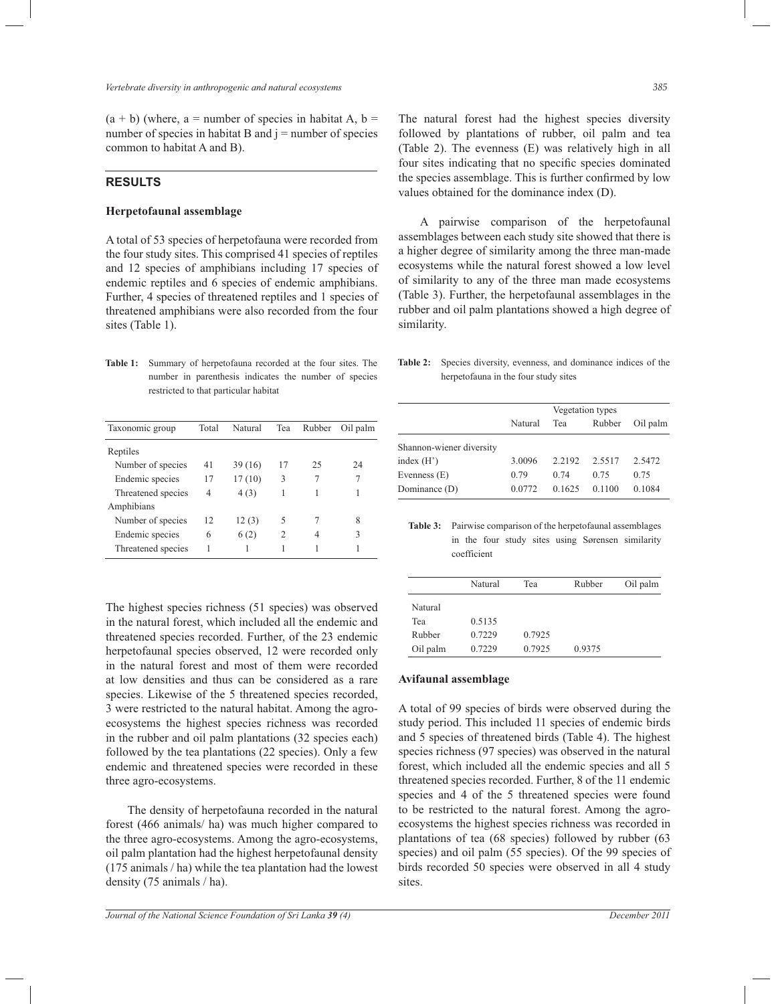$(a + b)$  (where, a = number of species in habitat A, b = number of species in habitat B and  $j =$  number of species common to habitat A and B).

## **RESULTS**

#### **Herpetofaunal assemblage**

A total of 53 species of herpetofauna were recorded from the four study sites. This comprised 41 species of reptiles and 12 species of amphibians including 17 species of endemic reptiles and 6 species of endemic amphibians. Further, 4 species of threatened reptiles and 1 species of threatened amphibians were also recorded from the four sites (Table 1).

**Table 1:** Summary of herpetofauna recorded at the four sites. The number in parenthesis indicates the number of species restricted to that particular habitat

| Taxonomic group    | Total | Natural | Tea | Rubber | Oil palm |
|--------------------|-------|---------|-----|--------|----------|
| Reptiles           |       |         |     |        |          |
| Number of species  | 41    | 39(16)  | 17  | 25     | 24       |
| Endemic species    | 17    | 17(10)  | 3   | 7      | 7        |
| Threatened species | 4     | 4(3)    | 1   |        |          |
| Amphibians         |       |         |     |        |          |
| Number of species  | 12    | 12(3)   | 5   | 7      | 8        |
| Endemic species    | 6     | 6(2)    | 2   | 4      | 3        |
| Threatened species | 1     |         |     |        |          |

The highest species richness (51 species) was observed in the natural forest, which included all the endemic and threatened species recorded. Further, of the 23 endemic herpetofaunal species observed, 12 were recorded only in the natural forest and most of them were recorded at low densities and thus can be considered as a rare species. Likewise of the 5 threatened species recorded, 3 were restricted to the natural habitat. Among the agroecosystems the highest species richness was recorded in the rubber and oil palm plantations (32 species each) followed by the tea plantations (22 species). Only a few endemic and threatened species were recorded in these three agro-ecosystems.

 The density of herpetofauna recorded in the natural forest (466 animals/ ha) was much higher compared to the three agro-ecosystems. Among the agro-ecosystems, oil palm plantation had the highest herpetofaunal density (175 animals / ha) while the tea plantation had the lowest density (75 animals / ha).

The natural forest had the highest species diversity followed by plantations of rubber, oil palm and tea (Table 2). The evenness (E) was relatively high in all four sites indicating that no specific species dominated the species assemblage. This is further confirmed by low values obtained for the dominance index (D).

 A pairwise comparison of the herpetofaunal assemblages between each study site showed that there is a higher degree of similarity among the three man-made ecosystems while the natural forest showed a low level of similarity to any of the three man made ecosystems (Table 3). Further, the herpetofaunal assemblages in the rubber and oil palm plantations showed a high degree of similarity.

**Table 2:** Species diversity, evenness, and dominance indices of the herpetofauna in the four study sites

|                          | Vegetation types |        |        |          |  |  |
|--------------------------|------------------|--------|--------|----------|--|--|
|                          | Natural          | Tea    | Rubber | Oil palm |  |  |
| Shannon-wiener diversity |                  |        |        |          |  |  |
| index $(H')$             | 3.0096           | 2.2192 | 2.5517 | 2.5472   |  |  |
| Evenness $(E)$           | 0.79             | 0.74   | 0.75   | 0.75     |  |  |
| Dominance (D)            | 0.0772           | 0.1625 | 0.1100 | 0.1084   |  |  |

**Table 3:** Pairwise comparison of the herpetofaunal assemblages in the four study sites using Sørensen similarity coefficient

|          | Natural | Tea    | Rubber | Oil palm |
|----------|---------|--------|--------|----------|
| Natural  |         |        |        |          |
| Tea      | 0.5135  |        |        |          |
| Rubber   | 0.7229  | 0.7925 |        |          |
| Oil palm | 0.7229  | 0.7925 | 0.9375 |          |

#### **Avifaunal assemblage**

A total of 99 species of birds were observed during the study period. This included 11 species of endemic birds and 5 species of threatened birds (Table 4). The highest species richness (97 species) was observed in the natural forest, which included all the endemic species and all 5 threatened species recorded. Further, 8 of the 11 endemic species and 4 of the 5 threatened species were found to be restricted to the natural forest. Among the agroecosystems the highest species richness was recorded in plantations of tea (68 species) followed by rubber (63 species) and oil palm (55 species). Of the 99 species of birds recorded 50 species were observed in all 4 study sites.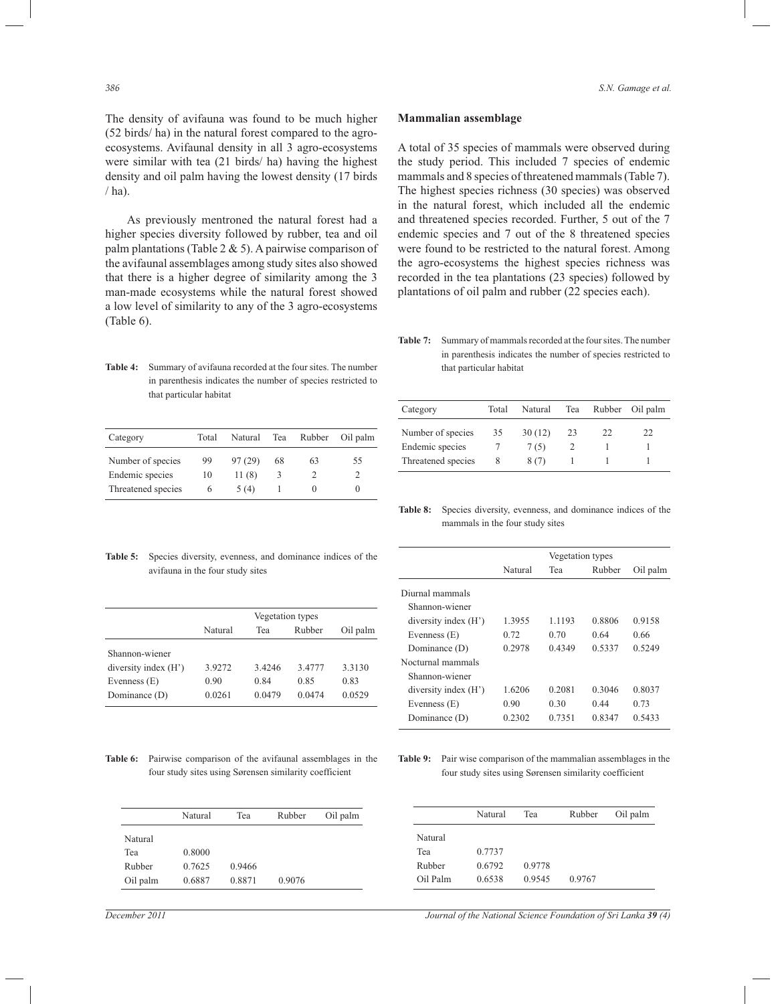The density of avifauna was found to be much higher (52 birds/ ha) in the natural forest compared to the agroecosystems. Avifaunal density in all 3 agro-ecosystems were similar with tea (21 birds/ ha) having the highest density and oil palm having the lowest density (17 birds  $/$  ha).

 As previously mentroned the natural forest had a higher species diversity followed by rubber, tea and oil palm plantations (Table 2 & 5). A pairwise comparison of the avifaunal assemblages among study sites also showed that there is a higher degree of similarity among the man-made ecosystems while the natural forest sho a low level of similarity to any of the 3 agro-ecosystems (Table 6).

**Table 4:** Summary of avifauna recorded at the four sites. The number in parenthesis indicates the number of species restricted to that particular habitat

| Category           | Total | Natural | Tea | Rubber | Oil palm |
|--------------------|-------|---------|-----|--------|----------|
| Number of species  | 99    | 97(29)  | 68  | 63     | 55       |
| Endemic species    | 10    | 11(8)   | 3   |        |          |
| Threatened species | 6     | 5(4)    |     |        | $\theta$ |

| Mammalian assemblage |
|----------------------|
|----------------------|

A total of 35 species of mammals were observed during the study period. This included 7 species of endemic mammals and 8 species of threatened mammals (Table 7). The highest species richness (30 species) was observed in the natural forest, which included all the endemic and threatened species recorded. Further, 5 out of the 7 endemic species and 7 out of the 8 threatened species were found to be restricted to the natural forest. Among the agro-ecosystems the highest species richness was  $ons (23 species) followed by$ ubber (22 species each).

Table 7: Summary of mammals recorded at the four sites. The number in parenthesis indicates the number of species restricted to that particular habitat

| Category           | Total | Natural | Tea | Rubber | Oil palm |
|--------------------|-------|---------|-----|--------|----------|
| Number of species  | 35    | 30(12)  | 23  | 22     | 22       |
| Endemic species    |       | 7(5)    |     |        |          |
| Threatened species |       | 8(7)    |     |        |          |

**Table 8:** Species diversity, evenness, and dominance indices of the mammals in the four study sites

| Natural | Tea    | Rubber | Oil palm         |
|---------|--------|--------|------------------|
|         |        |        |                  |
|         |        |        |                  |
| 1.3955  | 1.1193 | 0.8806 | 0.9158           |
| 0.72    | 0.70   | 0.64   | 0.66             |
| 0.2978  | 0.4349 | 0.5337 | 0.5249           |
|         |        |        |                  |
|         |        |        |                  |
| 1.6206  | 0.2081 | 0.3046 | 0.8037           |
| 0.90    | 0.30   | 0.44   | 0.73             |
| 0.2302  | 0.7351 | 0.8347 | 0.5433           |
|         |        |        | Vegetation types |

**Table 9:** Pair wise comparison of the mammalian assemblages in the four study sites using Sørensen similarity coefficient

**Table 5:** Species diversity, evenness, and dominance indices of the avifauna in the four study sites

|                        | Vegetation types |        |        |          |  |  |
|------------------------|------------------|--------|--------|----------|--|--|
|                        | Natural          | Tea    | Rubber | Oil palm |  |  |
| Shannon-wiener         |                  |        |        |          |  |  |
| diversity index $(H')$ | 3.9272           | 3.4246 | 3.4777 | 3.3130   |  |  |
| Evenness $(E)$         | 0.90             | 0.84   | 0.85   | 0.83     |  |  |
| Dominance (D)          | 0.0261           | 0.0479 | 0.0474 | 0.0529   |  |  |

**Table 6:** Pairwise comparison of the avifaunal assemblages in the four study sites using Sørensen similarity coefficient

|          | Natural | Tea    | Rubber | Oil palm |
|----------|---------|--------|--------|----------|
| Natural  |         |        |        |          |
| Tea      | 0.8000  |        |        |          |
| Rubber   | 0.7625  | 0.9466 |        |          |
| Oil palm | 0.6887  | 0.8871 | 0.9076 |          |

*December 2011 Journal of the National Science Foundation of Sri Lanka 39 (4)*

Natural Tea Rubber Oil palm

| 1e 3. | recorded in the tea plantation |
|-------|--------------------------------|
| wed   | plantations of oil palm and ru |
| ems   |                                |
|       |                                |

Natural

Tea 0.7737

Rubber 0.6792 0.9778

Oil Palm 0.6538 0.9545 0.9767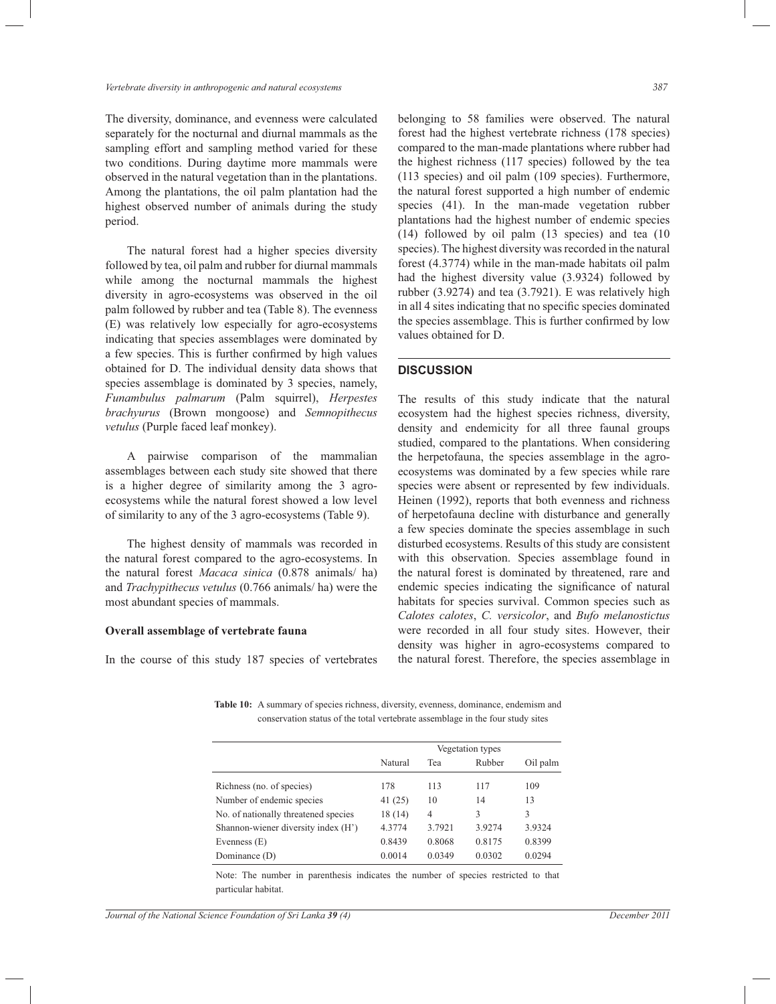The diversity, dominance, and evenness were calculated separately for the nocturnal and diurnal mammals as the sampling effort and sampling method varied for these two conditions. During daytime more mammals were observed in the natural vegetation than in the plantations. Among the plantations, the oil palm plantation had the highest observed number of animals during the study period.

 The natural forest had a higher species diversity followed by tea, oil palm and rubber for diurnal mammals while among the nocturnal mammals the highest diversity in agro-ecosystems was observed in the oil palm followed by rubber and tea (Table 8). The evenness (E) was relatively low especially for agro-ecosystems indicating that species assemblages were dominated by a few species. This is further confirmed by high values obtained for D. The individual density data shows that species assemblage is dominated by 3 species, namely, *Funambulus palmarum* (Palm squirrel), *Herpestes brachyurus* (Brown mongoose) and *Semnopithecus vetulus* (Purple faced leaf monkey).

 A pairwise comparison of the mammalian assemblages between each study site showed that there is a higher degree of similarity among the 3 agroecosystems while the natural forest showed a low level of similarity to any of the 3 agro-ecosystems (Table 9).

 The highest density of mammals was recorded in the natural forest compared to the agro-ecosystems. In the natural forest *Macaca sinica* (0.878 animals/ ha) and *Trachypithecus vetulus* (0.766 animals/ ha) were the most abundant species of mammals.

#### **Overall assemblage of vertebrate fauna**

In the course of this study 187 species of vertebrates

belonging to 58 families were observed. The natural forest had the highest vertebrate richness (178 species) compared to the man-made plantations where rubber had the highest richness (117 species) followed by the tea (113 species) and oil palm (109 species). Furthermore, the natural forest supported a high number of endemic species (41). In the man-made vegetation rubber plantations had the highest number of endemic species (14) followed by oil palm (13 species) and tea (10 species). The highest diversity was recorded in the natural forest (4.3774) while in the man-made habitats oil palm had the highest diversity value (3.9324) followed by rubber (3.9274) and tea (3.7921). E was relatively high in all 4 sites indicating that no specific species dominated the species assemblage. This is further confirmed by low values obtained for D.

#### **DISCUSSION**

The results of this study indicate that the natural ecosystem had the highest species richness, diversity, density and endemicity for all three faunal groups studied, compared to the plantations. When considering the herpetofauna, the species assemblage in the agroecosystems was dominated by a few species while rare species were absent or represented by few individuals. Heinen (1992), reports that both evenness and richness of herpetofauna decline with disturbance and generally a few species dominate the species assemblage in such disturbed ecosystems. Results of this study are consistent with this observation. Species assemblage found in the natural forest is dominated by threatened, rare and endemic species indicating the significance of natural habitats for species survival. Common species such as *Calotes calotes*, *C. versicolor*, and *Bufo melanostictus* were recorded in all four study sites. However, their density was higher in agro-ecosystems compared to the natural forest. Therefore, the species assemblage in

**Table 10:** A summary of species richness, diversity, evenness, dominance, endemism and conservation status of the total vertebrate assemblage in the four study sites

|                                      | Vegetation types |        |        |          |
|--------------------------------------|------------------|--------|--------|----------|
|                                      | Natural          | Tea    | Rubber | Oil palm |
| Richness (no. of species)            | 178              | 113    | 117    | 109      |
| Number of endemic species            | 41(25)           | 10     | 14     | 13       |
| No. of nationally threatened species | 18(14)           | 4      | 3      | 3        |
| Shannon-wiener diversity index (H')  | 4.3774           | 3.7921 | 3.9274 | 3.9324   |
| Evenness (E)                         | 0.8439           | 0.8068 | 0.8175 | 0.8399   |
| Dominance (D)                        | 0.0014           | 0.0349 | 0.0302 | 0.0294   |

Note: The number in parenthesis indicates the number of species restricted to that particular habitat.

*Journal of the National Science Foundation of Sri Lanka 39 (4) December 2011*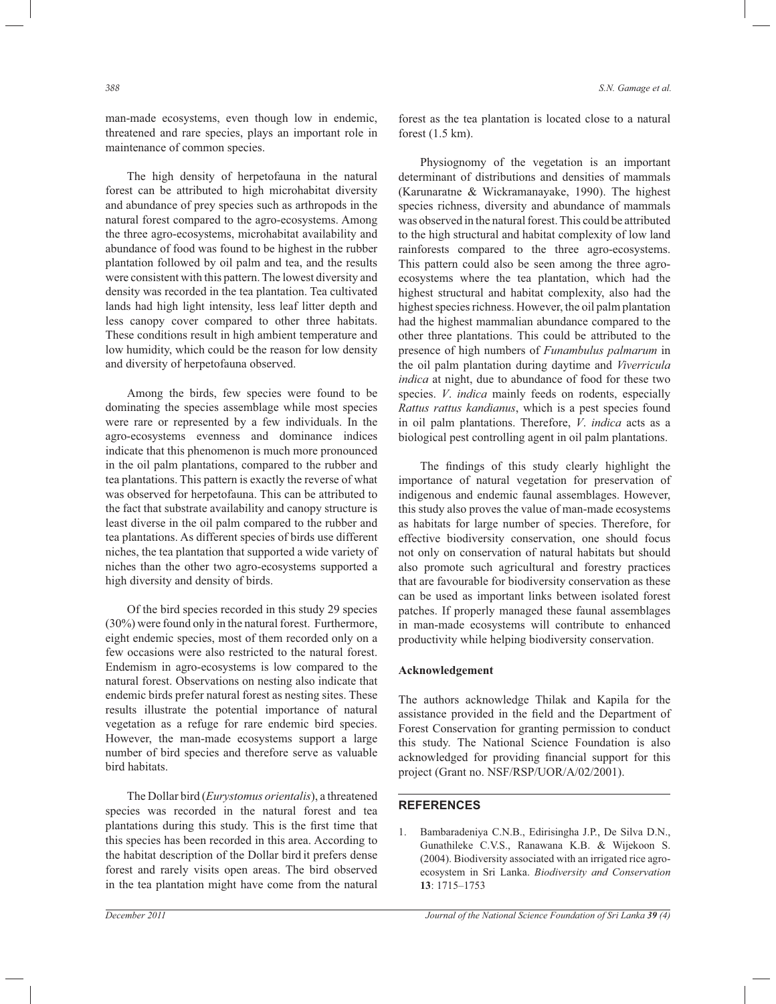man-made ecosystems, even though low in endemic, threatened and rare species, plays an important role in maintenance of common species.

 The high density of herpetofauna in the natural forest can be attributed to high microhabitat diversity and abundance of prey species such as arthropods in the natural forest compared to the agro-ecosystems. Among the three agro-ecosystems, microhabitat availability and abundance of food was found to be highest in the rubber plantation followed by oil palm and tea, and the results were consistent with this pattern. The lowest diversity and density was recorded in the tea plantation. Tea cultivated lands had high light intensity, less leaf litter depth and less canopy cover compared to other three habitats. These conditions result in high ambient temperature and low humidity, which could be the reason for low density and diversity of herpetofauna observed.

 Among the birds, few species were found to be dominating the species assemblage while most species were rare or represented by a few individuals. In the agro-ecosystems evenness and dominance indices indicate that this phenomenon is much more pronounced in the oil palm plantations, compared to the rubber and tea plantations. This pattern is exactly the reverse of what was observed for herpetofauna. This can be attributed to the fact that substrate availability and canopy structure is least diverse in the oil palm compared to the rubber and tea plantations. As different species of birds use different niches, the tea plantation that supported a wide variety of niches than the other two agro-ecosystems supported a high diversity and density of birds.

 Of the bird species recorded in this study 29 species (30%) were found only in the natural forest. Furthermore, eight endemic species, most of them recorded only on a few occasions were also restricted to the natural forest. Endemism in agro-ecosystems is low compared to the natural forest. Observations on nesting also indicate that endemic birds prefer natural forest as nesting sites. These results illustrate the potential importance of natural vegetation as a refuge for rare endemic bird species. However, the man-made ecosystems support a large number of bird species and therefore serve as valuable bird habitats.

 The Dollar bird (*Eurystomus orientalis*), a threatened species was recorded in the natural forest and tea plantations during this study. This is the first time that this species has been recorded in this area. According to the habitat description of the Dollar bird it prefers dense forest and rarely visits open areas. The bird observed in the tea plantation might have come from the natural

forest as the tea plantation is located close to a natural forest (1.5 km).

 Physiognomy of the vegetation is an important determinant of distributions and densities of mammals (Karunaratne & Wickramanayake, 1990). The highest species richness, diversity and abundance of mammals was observed in the natural forest. This could be attributed to the high structural and habitat complexity of low land rainforests compared to the three agro-ecosystems. This pattern could also be seen among the three agroecosystems where the tea plantation, which had the highest structural and habitat complexity, also had the highest species richness. However, the oil palm plantation had the highest mammalian abundance compared to the other three plantations. This could be attributed to the presence of high numbers of *Funambulus palmarum* in the oil palm plantation during daytime and *Viverricula indica* at night, due to abundance of food for these two species. *V*. *indica* mainly feeds on rodents, especially *Rattus rattus kandianus*, which is a pest species found in oil palm plantations. Therefore, *V*. *indica* acts as a biological pest controlling agent in oil palm plantations.

 The findings of this study clearly highlight the importance of natural vegetation for preservation of indigenous and endemic faunal assemblages. However, this study also proves the value of man-made ecosystems as habitats for large number of species. Therefore, for effective biodiversity conservation, one should focus not only on conservation of natural habitats but should also promote such agricultural and forestry practices that are favourable for biodiversity conservation as these can be used as important links between isolated forest patches. If properly managed these faunal assemblages in man-made ecosystems will contribute to enhanced productivity while helping biodiversity conservation.

#### **Acknowledgement**

The authors acknowledge Thilak and Kapila for the assistance provided in the field and the Department of Forest Conservation for granting permission to conduct this study. The National Science Foundation is also acknowledged for providing financial support for this project (Grant no. NSF/RSP/UOR/A/02/2001).

## **REFERENCES**

1. Bambaradeniya C.N.B., Edirisingha J.P., De Silva D.N., Gunathileke C.V.S., Ranawana K.B. & Wijekoon S. (2004). Biodiversity associated with an irrigated rice agroecosystem in Sri Lanka. *Biodiversity and Conservation* **13**: 1715–1753